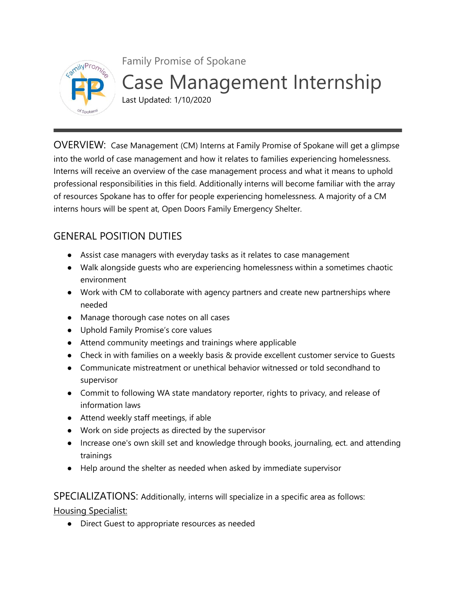

Family Promise of Spokane Case Management Internship Last Updated: 1/10/2020

OVERVIEW: Case Management (CM) Interns at Family Promise of Spokane will get a glimpse into the world of case management and how it relates to families experiencing homelessness. Interns will receive an overview of the case management process and what it means to uphold professional responsibilities in this field. Additionally interns will become familiar with the array of resources Spokane has to offer for people experiencing homelessness. A majority of a CM interns hours will be spent at, Open Doors Family Emergency Shelter.

# GENERAL POSITION DUTIES

- Assist case managers with everyday tasks as it relates to case management
- Walk alongside guests who are experiencing homelessness within a sometimes chaotic environment
- Work with CM to collaborate with agency partners and create new partnerships where needed
- Manage thorough case notes on all cases
- Uphold Family Promise's core values
- Attend community meetings and trainings where applicable
- Check in with families on a weekly basis & provide excellent customer service to Guests
- Communicate mistreatment or unethical behavior witnessed or told secondhand to supervisor
- Commit to following WA state mandatory reporter, rights to privacy, and release of information laws
- Attend weekly staff meetings, if able
- Work on side projects as directed by the supervisor
- Increase one's own skill set and knowledge through books, journaling, ect. and attending trainings
- Help around the shelter as needed when asked by immediate supervisor

SPECIALIZATIONS: Additionally, interns will specialize in a specific area as follows:

Housing Specialist:

● Direct Guest to appropriate resources as needed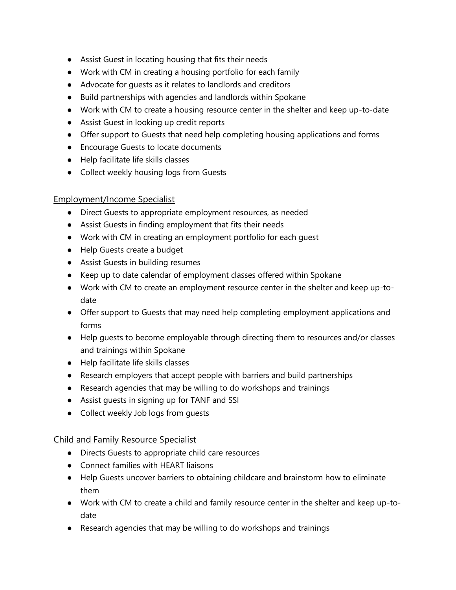- Assist Guest in locating housing that fits their needs
- Work with CM in creating a housing portfolio for each family
- Advocate for guests as it relates to landlords and creditors
- Build partnerships with agencies and landlords within Spokane
- Work with CM to create a housing resource center in the shelter and keep up-to-date
- Assist Guest in looking up credit reports
- Offer support to Guests that need help completing housing applications and forms
- Encourage Guests to locate documents
- Help facilitate life skills classes
- Collect weekly housing logs from Guests

#### Employment/Income Specialist

- Direct Guests to appropriate employment resources, as needed
- Assist Guests in finding employment that fits their needs
- Work with CM in creating an employment portfolio for each guest
- Help Guests create a budget
- Assist Guests in building resumes
- Keep up to date calendar of employment classes offered within Spokane
- Work with CM to create an employment resource center in the shelter and keep up-todate
- Offer support to Guests that may need help completing employment applications and forms
- Help guests to become employable through directing them to resources and/or classes and trainings within Spokane
- Help facilitate life skills classes
- Research employers that accept people with barriers and build partnerships
- Research agencies that may be willing to do workshops and trainings
- Assist guests in signing up for TANF and SSI
- Collect weekly Job logs from guests

#### Child and Family Resource Specialist

- Directs Guests to appropriate child care resources
- Connect families with HEART liaisons
- Help Guests uncover barriers to obtaining childcare and brainstorm how to eliminate them
- Work with CM to create a child and family resource center in the shelter and keep up-todate
- Research agencies that may be willing to do workshops and trainings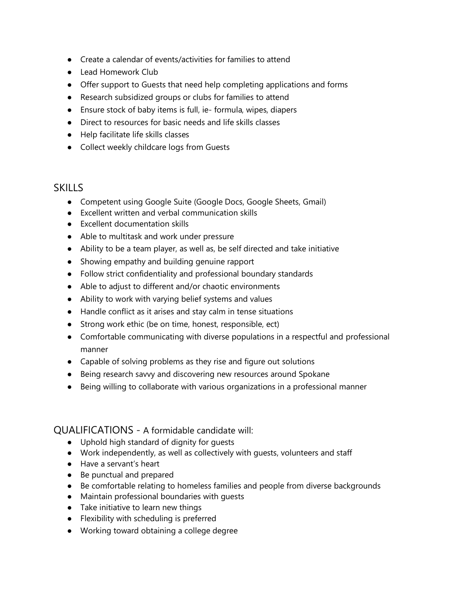- Create a calendar of events/activities for families to attend
- Lead Homework Club
- Offer support to Guests that need help completing applications and forms
- Research subsidized groups or clubs for families to attend
- Ensure stock of baby items is full, ie- formula, wipes, diapers
- Direct to resources for basic needs and life skills classes
- Help facilitate life skills classes
- Collect weekly childcare logs from Guests

## **SKILLS**

- Competent using Google Suite (Google Docs, Google Sheets, Gmail)
- Excellent written and verbal communication skills
- Excellent documentation skills
- Able to multitask and work under pressure
- Ability to be a team player, as well as, be self directed and take initiative
- Showing empathy and building genuine rapport
- Follow strict confidentiality and professional boundary standards
- Able to adjust to different and/or chaotic environments
- Ability to work with varying belief systems and values
- Handle conflict as it arises and stay calm in tense situations
- Strong work ethic (be on time, honest, responsible, ect)
- Comfortable communicating with diverse populations in a respectful and professional manner
- Capable of solving problems as they rise and figure out solutions
- Being research savvy and discovering new resources around Spokane
- Being willing to collaborate with various organizations in a professional manner

### QUALIFICATIONS - A formidable candidate will:

- Uphold high standard of dignity for guests
- Work independently, as well as collectively with guests, volunteers and staff
- Have a servant's heart
- Be punctual and prepared
- Be comfortable relating to homeless families and people from diverse backgrounds
- Maintain professional boundaries with guests
- Take initiative to learn new things
- Flexibility with scheduling is preferred
- Working toward obtaining a college degree